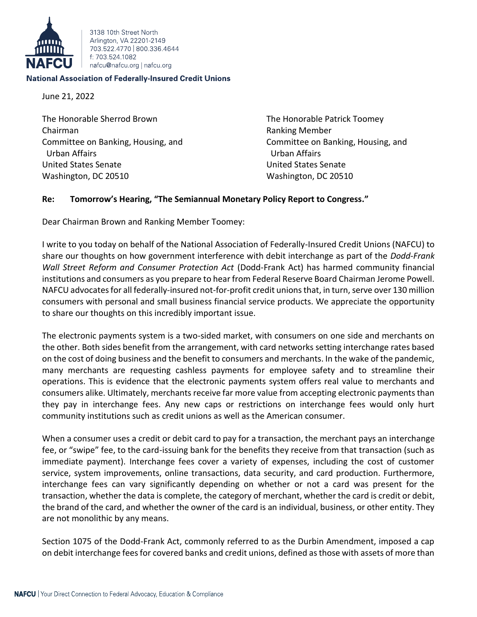

3138 10th Street North Arlington, VA 22201-2149 703 522 4770 800 336 4644 f: 703 524 1082 nafcu@nafcu.org | nafcu.org

## **National Association of Federally-Insured Credit Unions**

June 21, 2022

The Honorable Sherrod Brown The Honorable Patrick Toomey Chairman Ranking Member Committee on Banking, Housing, and Committee on Banking, Housing, and Urban Affairs Urban Affairs United States Senate United States Senate Washington, DC 20510 Washington, DC 20510

## **Re: Tomorrow's Hearing, "The Semiannual Monetary Policy Report to Congress."**

Dear Chairman Brown and Ranking Member Toomey:

I write to you today on behalf of the National Association of Federally-Insured Credit Unions (NAFCU) to share our thoughts on how government interference with debit interchange as part of the *Dodd-Frank Wall Street Reform and Consumer Protection Act* (Dodd-Frank Act) has harmed community financial institutions and consumers as you prepare to hear from Federal Reserve Board Chairman Jerome Powell. NAFCU advocates for all federally-insured not-for-profit credit unions that, in turn, serve over 130 million consumers with personal and small business financial service products. We appreciate the opportunity to share our thoughts on this incredibly important issue.

The electronic payments system is a two-sided market, with consumers on one side and merchants on the other. Both sides benefit from the arrangement, with card networks setting interchange rates based on the cost of doing business and the benefit to consumers and merchants. In the wake of the pandemic, many merchants are requesting cashless payments for employee safety and to streamline their operations. This is evidence that the electronic payments system offers real value to merchants and consumers alike. Ultimately, merchants receive far more value from accepting electronic payments than they pay in interchange fees. Any new caps or restrictions on interchange fees would only hurt community institutions such as credit unions as well as the American consumer.

When a consumer uses a credit or debit card to pay for a transaction, the merchant pays an interchange fee, or "swipe" fee, to the card-issuing bank for the benefits they receive from that transaction (such as immediate payment). Interchange fees cover a variety of expenses, including the cost of customer service, system improvements, online transactions, data security, and card production. Furthermore, interchange fees can vary significantly depending on whether or not a card was present for the transaction, whether the data is complete, the category of merchant, whether the card is credit or debit, the brand of the card, and whether the owner of the card is an individual, business, or other entity. They are not monolithic by any means.

Section 1075 of the Dodd-Frank Act, commonly referred to as the Durbin Amendment, imposed a cap on debit interchange fees for covered banks and credit unions, defined as those with assets of more than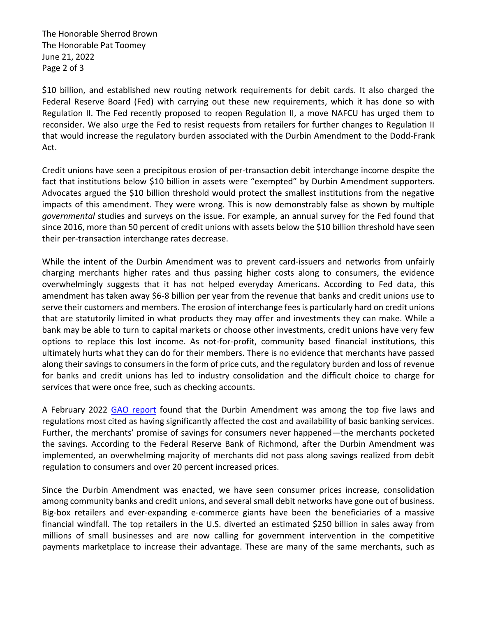The Honorable Sherrod Brown The Honorable Pat Toomey June 21, 2022 Page 2 of 3

\$10 billion, and established new routing network requirements for debit cards. It also charged the Federal Reserve Board (Fed) with carrying out these new requirements, which it has done so with Regulation II. The Fed recently proposed to reopen Regulation II, a move NAFCU has urged them to reconsider. We also urge the Fed to resist requests from retailers for further changes to Regulation II that would increase the regulatory burden associated with the Durbin Amendment to the Dodd-Frank Act.

Credit unions have seen a precipitous erosion of per-transaction debit interchange income despite the fact that institutions below \$10 billion in assets were "exempted" by Durbin Amendment supporters. Advocates argued the \$10 billion threshold would protect the smallest institutions from the negative impacts of this amendment. They were wrong. This is now demonstrably false as shown by multiple *governmental* studies and surveys on the issue. For example, an annual survey for the Fed found that since 2016, more than 50 percent of credit unions with assets below the \$10 billion threshold have seen their per-transaction interchange rates decrease.

While the intent of the Durbin Amendment was to prevent card-issuers and networks from unfairly charging merchants higher rates and thus passing higher costs along to consumers, the evidence overwhelmingly suggests that it has not helped everyday Americans. According to Fed data, this amendment has taken away \$6-8 billion per year from the revenue that banks and credit unions use to serve their customers and members. The erosion of interchange fees is particularly hard on credit unions that are statutorily limited in what products they may offer and investments they can make. While a bank may be able to turn to capital markets or choose other investments, credit unions have very few options to replace this lost income. As not-for-profit, community based financial institutions, this ultimately hurts what they can do for their members. There is no evidence that merchants have passed along their savings to consumers in the form of price cuts, and the regulatory burden and loss of revenue for banks and credit unions has led to industry consolidation and the difficult choice to charge for services that were once free, such as checking accounts.

A February 2022 [GAO report](https://www.gao.gov/assets/gao-22-104468.pdf) found that the Durbin Amendment was among the top five laws and regulations most cited as having significantly affected the cost and availability of basic banking services. Further, the merchants' promise of savings for consumers never happened—the merchants pocketed the savings. According to the Federal Reserve Bank of Richmond, after the Durbin Amendment was implemented, an overwhelming majority of merchants did not pass along savings realized from debit regulation to consumers and over 20 percent increased prices.

Since the Durbin Amendment was enacted, we have seen consumer prices increase, consolidation among community banks and credit unions, and several small debit networks have gone out of business. Big-box retailers and ever-expanding e-commerce giants have been the beneficiaries of a massive financial windfall. The top retailers in the U.S. diverted an estimated \$250 billion in sales away from millions of small businesses and are now calling for government intervention in the competitive payments marketplace to increase their advantage. These are many of the same merchants, such as